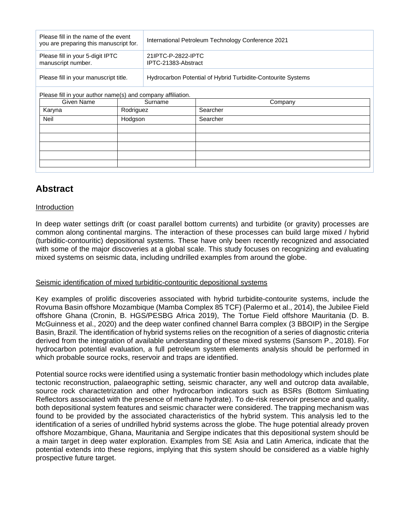| Please fill in the name of the event<br>you are preparing this manuscript for. |           | International Petroleum Technology Conference 2021           |          |
|--------------------------------------------------------------------------------|-----------|--------------------------------------------------------------|----------|
| Please fill in your 5-digit IPTC<br>manuscript number.                         |           | 21IPTC-P-2822-IPTC<br>IPTC-21383-Abstract                    |          |
| Please fill in your manuscript title.                                          |           | Hydrocarbon Potential of Hybrid Turbidite-Contourite Systems |          |
| Please fill in your author name(s) and company affiliation.                    |           |                                                              |          |
| Given Name                                                                     | Surname   |                                                              | Company  |
| Karyna                                                                         | Rodriguez |                                                              | Searcher |
| Neil                                                                           | Hodgson   |                                                              | Searcher |
|                                                                                |           |                                                              |          |
|                                                                                |           |                                                              |          |
|                                                                                |           |                                                              |          |
|                                                                                |           |                                                              |          |
|                                                                                |           |                                                              |          |

# **Abstract**

## Introduction

In deep water settings drift (or coast parallel bottom currents) and turbidite (or gravity) processes are common along continental margins. The interaction of these processes can build large mixed / hybrid (turbiditic-contouritic) depositional systems. These have only been recently recognized and associated with some of the major discoveries at a global scale. This study focuses on recognizing and evaluating mixed systems on seismic data, including undrilled examples from around the globe.

### Seismic identification of mixed turbiditic-contouritic depositional systems

Key examples of prolific discoveries associated with hybrid turbidite-contourite systems, include the Rovuma Basin offshore Mozambique (Mamba Complex 85 TCF) (Palermo et al., 2014), the Jubilee Field offshore Ghana (Cronin, B. HGS/PESBG Africa 2019), The Tortue Field offshore Mauritania (D. B. McGuinness et al., 2020) and the deep water confined channel Barra complex (3 BBOIP) in the Sergipe Basin, Brazil. The identification of hybrid systems relies on the recognition of a series of diagnostic criteria derived from the integration of available understanding of these mixed systems (Sansom P., 2018). For hydrocarbon potential evaluation, a full petroleum system elements analysis should be performed in which probable source rocks, reservoir and traps are identified.

Potential source rocks were identified using a systematic frontier basin methodology which includes plate tectonic reconstruction, palaeographic setting, seismic character, any well and outcrop data available, source rock charactetrization and other hydrocarbon indicators such as BSRs (Bottom Simluating Reflectors associated with the presence of methane hydrate). To de-risk reservoir presence and quality, both depositional system features and seismic character were considered. The trapping mechanism was found to be provided by the associated characteristics of the hybrid system. This analysis led to the identification of a series of undrilled hybrid systems across the globe. The huge potential already proven offshore Mozambique, Ghana, Mauritania and Sergipe indicates that this depositional system should be a main target in deep water exploration. Examples from SE Asia and Latin America, indicate that the potential extends into these regions, implying that this system should be considered as a viable highly prospective future target.